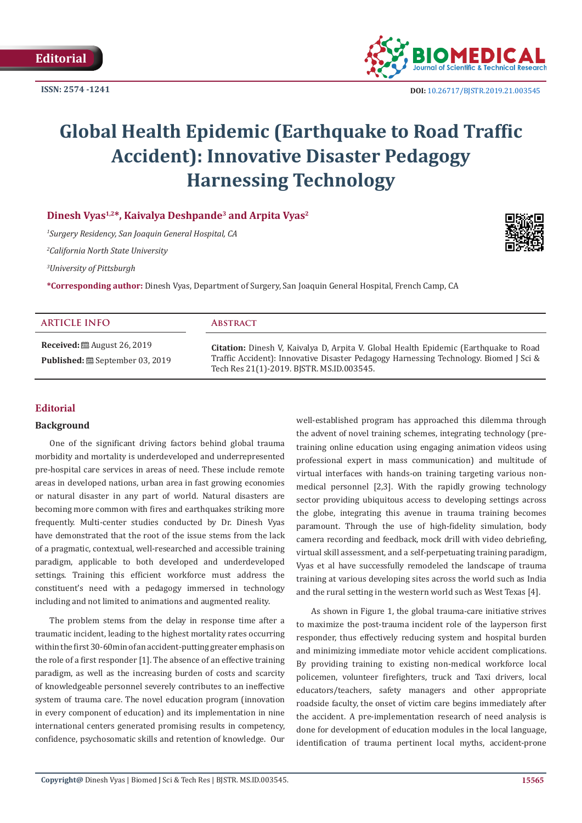**ISSN: 2574 -1241**



 **DOI:** [10.26717/BJSTR.2019.21.003545](http://dx.doi.org/10.26717/BJSTR.2019.21.003545)

# **Global Health Epidemic (Earthquake to Road Traffic Accident): Innovative Disaster Pedagogy Harnessing Technology**

**Dinesh Vyas1,2\*, Kaivalya Deshpande3 and Arpita Vyas2**

*1 Surgery Residency, San Joaquin General Hospital, CA*

*2 California North State University*

*3 University of Pittsburgh*

**\*Corresponding author:** Dinesh Vyas, Department of Surgery, San Joaquin General Hospital, French Camp, CA

| <b>ARTICLE INFO</b>                                                                                | <b>ABSTRACT</b>                                                                                                                                                                                                            |
|----------------------------------------------------------------------------------------------------|----------------------------------------------------------------------------------------------------------------------------------------------------------------------------------------------------------------------------|
| <b>Received:</b> $\mathbf{\mathfrak{B}}$ August 26, 2019<br><b>Published:</b> ■ September 03, 2019 | Citation: Dinesh V, Kaivalya D, Arpita V. Global Health Epidemic (Earthquake to Road<br>Traffic Accident): Innovative Disaster Pedagogy Harnessing Technology. Biomed J Sci &<br>Tech Res 21(1)-2019. BISTR. MS.ID.003545. |

## **Editorial**

## **Background**

One of the significant driving factors behind global trauma morbidity and mortality is underdeveloped and underrepresented pre-hospital care services in areas of need. These include remote areas in developed nations, urban area in fast growing economies or natural disaster in any part of world. Natural disasters are becoming more common with fires and earthquakes striking more frequently. Multi-center studies conducted by Dr. Dinesh Vyas have demonstrated that the root of the issue stems from the lack of a pragmatic, contextual, well-researched and accessible training paradigm, applicable to both developed and underdeveloped settings. Training this efficient workforce must address the constituent's need with a pedagogy immersed in technology including and not limited to animations and augmented reality.

The problem stems from the delay in response time after a traumatic incident, leading to the highest mortality rates occurring within the first 30-60min of an accident-putting greater emphasis on the role of a first responder [1]. The absence of an effective training paradigm, as well as the increasing burden of costs and scarcity of knowledgeable personnel severely contributes to an ineffective system of trauma care. The novel education program (innovation in every component of education) and its implementation in nine international centers generated promising results in competency, confidence, psychosomatic skills and retention of knowledge. Our well-established program has approached this dilemma through the advent of novel training schemes, integrating technology (pretraining online education using engaging animation videos using professional expert in mass communication) and multitude of virtual interfaces with hands-on training targeting various nonmedical personnel [2,3]. With the rapidly growing technology sector providing ubiquitous access to developing settings across the globe, integrating this avenue in trauma training becomes paramount. Through the use of high-fidelity simulation, body camera recording and feedback, mock drill with video debriefing, virtual skill assessment, and a self-perpetuating training paradigm, Vyas et al have successfully remodeled the landscape of trauma training at various developing sites across the world such as India and the rural setting in the western world such as West Texas [4].

As shown in Figure 1, the global trauma-care initiative strives to maximize the post-trauma incident role of the layperson first responder, thus effectively reducing system and hospital burden and minimizing immediate motor vehicle accident complications. By providing training to existing non-medical workforce local policemen, volunteer firefighters, truck and Taxi drivers, local educators/teachers, safety managers and other appropriate roadside faculty, the onset of victim care begins immediately after the accident. A pre-implementation research of need analysis is done for development of education modules in the local language, identification of trauma pertinent local myths, accident-prone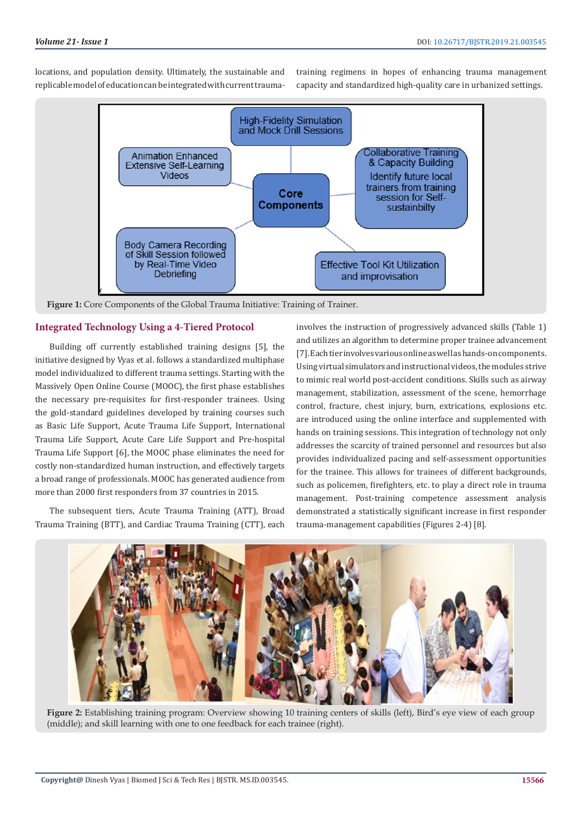locations, and population density. Ultimately, the sustainable and replicable model of education can be integrated with current traumatraining regimens in hopes of enhancing trauma management capacity and standardized high-quality care in urbanized settings.



**Figure 1:** Core Components of the Global Trauma Initiative: Training of Trainer.

## **Integrated Technology Using a 4-Tiered Protocol**

Building off currently established training designs [5], the initiative designed by Vyas et al. follows a standardized multiphase model individualized to different trauma settings. Starting with the Massively Open Online Course (MOOC), the first phase establishes the necessary pre-requisites for first-responder trainees. Using the gold-standard guidelines developed by training courses such as Basic Life Support, Acute Trauma Life Support, International Trauma Life Support, Acute Care Life Support and Pre-hospital Trauma Life Support [6], the MOOC phase eliminates the need for costly non-standardized human instruction, and effectively targets a broad range of professionals. MOOC has generated audience from more than 2000 first responders from 37 countries in 2015.

The subsequent tiers, Acute Trauma Training (ATT), Broad Trauma Training (BTT), and Cardiac Trauma Training (CTT), each

involves the instruction of progressively advanced skills (Table 1) and utilizes an algorithm to determine proper trainee advancement [7]. Each tier involves various online as well as hands-on components. Using virtual simulators and instructional videos, the modules strive to mimic real world post-accident conditions. Skills such as airway management, stabilization, assessment of the scene, hemorrhage control, fracture, chest injury, burn, extrications, explosions etc. are introduced using the online interface and supplemented with hands on training sessions. This integration of technology not only addresses the scarcity of trained personnel and resources but also provides individualized pacing and self-assessment opportunities for the trainee. This allows for trainees of different backgrounds, such as policemen, firefighters, etc. to play a direct role in trauma management. Post-training competence assessment analysis demonstrated a statistically significant increase in first responder trauma-management capabilities (Figures 2-4) [8].



**Figure 2:** Establishing training program: Overview showing 10 training centers of skills (left), Bird's eye view of each group (middle); and skill learning with one to one feedback for each trainee (right).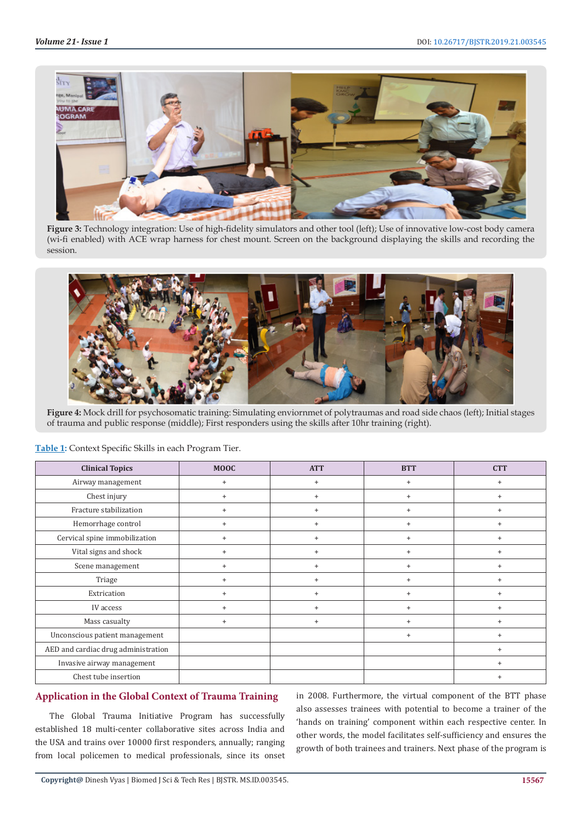

**Figure 3:** Technology integration: Use of high-fidelity simulators and other tool (left); Use of innovative low-cost body camera (wi-fi enabled) with ACE wrap harness for chest mount. Screen on the background displaying the skills and recording the session.



**Figure 4:** Mock drill for psychosomatic training: Simulating enviornmet of polytraumas and road side chaos (left); Initial stages of trauma and public response (middle); First responders using the skills after 10hr training (right).

| <b>Clinical Topics</b>              | <b>MOOC</b>    | <b>ATT</b> | <b>BTT</b> | <b>CTT</b> |
|-------------------------------------|----------------|------------|------------|------------|
| Airway management                   | $+$            | $\ddot{}$  | $\ddot{}$  | $^{+}$     |
| Chest injury                        | $\overline{1}$ | $\ddot{}$  | $\ddot{}$  | $+$        |
| Fracture stabilization              | $\ddot{}$      | $\ddot{}$  | $\ddot{}$  | $^{+}$     |
| Hemorrhage control                  | $\overline{1}$ | $\ddot{}$  | $\ddot{}$  | $+$        |
| Cervical spine immobilization       | $\overline{+}$ | $\ddot{}$  | $\ddot{}$  | $+$        |
| Vital signs and shock               |                | $+$        | $\ddot{}$  | $+$        |
| Scene management                    | $\ddot{}$      | $\ddot{}$  | $\ddot{}$  | $^{+}$     |
| Triage                              | $+$            | $\ddot{}$  | $\ddot{}$  | $^{+}$     |
| Extrication                         | $\overline{+}$ | $\ddot{}$  | $\ddot{}$  | $^{+}$     |
| IV access                           | $\overline{+}$ | $\ddot{}$  | $\ddot{}$  | $+$        |
| Mass casualty                       | $\ddot{}$      | $\ddot{}$  | $\ddot{}$  | $+$        |
| Unconscious patient management      |                |            | $\ddot{}$  | $+$        |
| AED and cardiac drug administration |                |            |            | $+$        |
| Invasive airway management          |                |            |            | $+$        |
| Chest tube insertion                |                |            |            |            |

#### **Table 1:** Context Specific Skills in each Program Tier.

# **Application in the Global Context of Trauma Training**

The Global Trauma Initiative Program has successfully established 18 multi-center collaborative sites across India and the USA and trains over 10000 first responders, annually; ranging from local policemen to medical professionals, since its onset

in 2008. Furthermore, the virtual component of the BTT phase also assesses trainees with potential to become a trainer of the 'hands on training' component within each respective center. In other words, the model facilitates self-sufficiency and ensures the growth of both trainees and trainers. Next phase of the program is